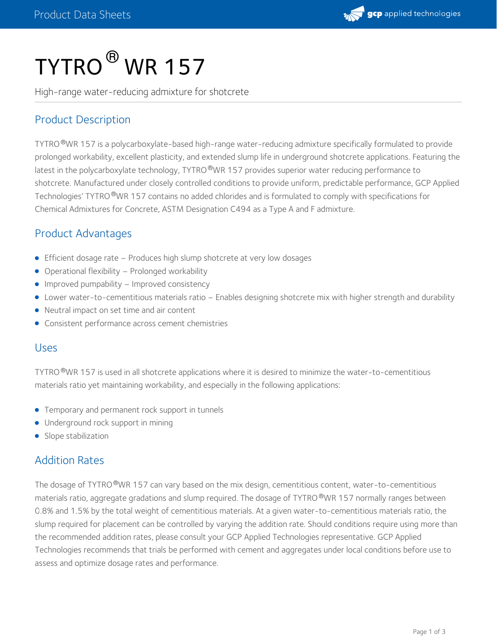

# $TYTRO<sup>®</sup>$  WR 157

High-range water-reducing admixture for shotcrete

# Product Description

TYTRO®WR 157 is a polycarboxylate-based high-range water-reducing admixture specifically formulated to provide prolonged workability, excellent plasticity, and extended slump life in underground shotcrete applications. Featuring the latest in the polycarboxylate technology, TYTRO®WR 157 provides superior water reducing performance to shotcrete. Manufactured under closely controlled conditions to provide uniform, predictable performance, GCP Applied Technologies' TYTRO ®WR 157 contains no added chlorides and is formulated to comply with specifications for Chemical Admixtures for Concrete, ASTM Designation C494 as a Type A and F admixture.

## Product Advantages

- Efficient dosage rate Produces high slump shotcrete at very low dosages
- Operational flexibility Prolonged workability
- **Improved pumpability Improved consistency**
- Lower water-to-cementitious materials ratio Enables designing shotcrete mix with higher strength and durability
- Neutral impact on set time and air content
- **•** Consistent performance across cement chemistries

## Uses

TYTRO ®WR 157 is used in all shotcrete applications where it is desired to minimize the water-to-cementitious materials ratio yet maintaining workability, and especially in the following applications:

- **•** Temporary and permanent rock support in tunnels
- Underground rock support in mining
- Slope stabilization

## Addition Rates

The dosage of TYTRO®WR 157 can vary based on the mix design, cementitious content, water-to-cementitious materials ratio, aggregate gradations and slump required. The dosage of TYTRO  $^\text{\textregistered}$ WR 157 normally ranges between 0.8% and 1.5% by the total weight of cementitious materials. At a given water-to-cementitious materials ratio, the slump required for placement can be controlled by varying the addition rate. Should conditions require using more than the recommended addition rates, please consult your GCP Applied Technologies representative. GCP Applied Technologies recommends that trials be performed with cement and aggregates under local conditions before use to assess and optimize dosage rates and performance.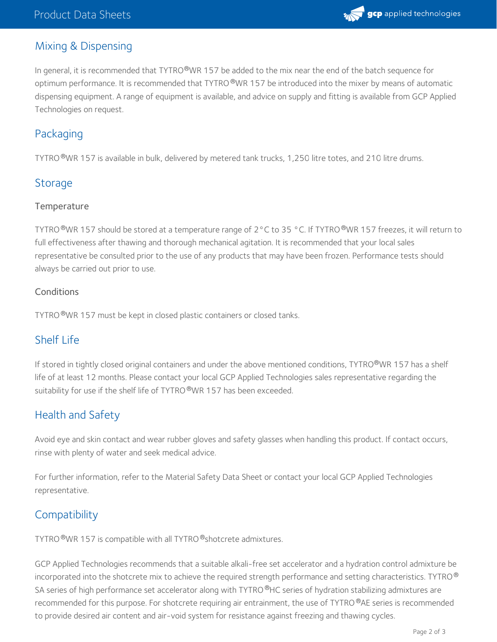

## Mixing & Dispensing

In general, it is recommended that <code>TYTRO®</code>WR 157 be added to the mix near the end of the batch sequence for optimum performance. It is recommended that TYTRO  $^\circ$ WR 157 be introduced into the mixer by means of automatic dispensing equipment. A range of equipment is available, and advice on supply and fitting is available from GCP Applied Technologies on request.

## Packaging

<code>TYTRO®</code>WR 157 is available in bulk, delivered by metered tank trucks, 1,250 litre totes, and 210 litre drums.

## **Storage**

#### **Temperature**

TYTRO ®WR 157 should be stored at a temperature range of 2°C to 35 °C. If TYTRO ®WR 157 freezes, it will return to full effectiveness after thawing and thorough mechanical agitation. It is recommended that your local sales representative be consulted prior to the use of any products that may have been frozen. Performance tests should always be carried out prior to use.

## Conditions

TYTRO ®WR 157 must be kept in closed plastic containers or closed tanks.

# Shelf Life

If stored in tightly closed original containers and under the above mentioned conditions, TYTRO®WR 157 has a shelf life of at least 12 months. Please contact your local GCP Applied Technologies sales representative regarding the suitability for use if the shelf life of TYTRO ®WR 157 has been exceeded.

## Health and Safety

Avoid eye and skin contact and wear rubber gloves and safety glasses when handling this product. If contact occurs, rinse with plenty of water and seek medical advice.

For further information, refer to the Material Safety Data Sheet or contact your local GCP Applied Technologies representative.

## **Compatibility**

<code>TYTRO®WR</code> 157 is compatible with all <code>TYTRO®</code>shotcrete admixtures.

GCP Applied Technologies recommends that a suitable alkali-free set accelerator and a hydration control admixture be incorporated into the shotcrete mix to achieve the required strength performance and setting characteristics. TYTRO  $^\circledR$ SA series of high performance set accelerator along with TYTRO ®HC series of hydration stabilizing admixtures are recommended for this purpose. For shotcrete requiring air entrainment, the use of TYTRO ®AE series is recommended to provide desired air content and air-void system for resistance against freezing and thawing cycles.